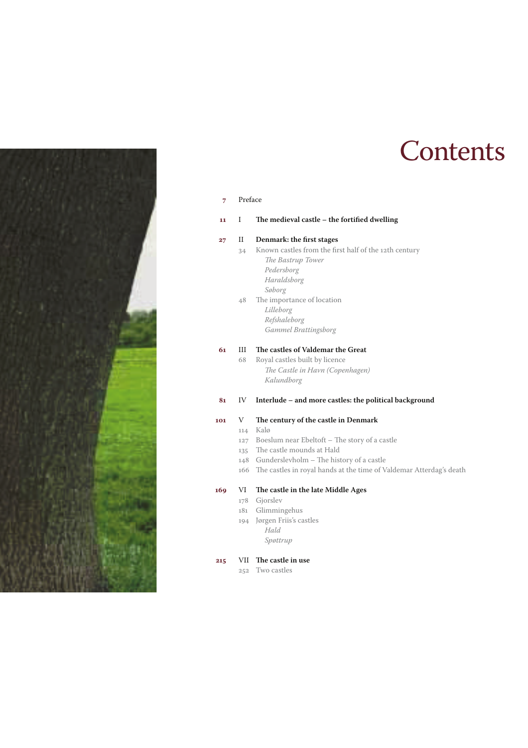## **Contents**



|     | Preface<br>7 |                                                                     |
|-----|--------------|---------------------------------------------------------------------|
| 11  | L            | The medieval castle – the fortified dwelling                        |
| 27  | П            | Denmark: the first stages                                           |
|     | 34           | Known castles from the first half of the 12th century               |
|     |              | The Bastrup Tower                                                   |
|     |              | Pedersborg                                                          |
|     |              | Haraldsborg                                                         |
|     |              | Søborg                                                              |
|     | 48           | The importance of location                                          |
|     |              | Lilleborg                                                           |
|     |              | Refshaleborg                                                        |
|     |              | Gammel Brattingsborg                                                |
| 61  | Ш            | The castles of Valdemar the Great                                   |
|     | 68           | Royal castles built by licence                                      |
|     |              | The Castle in Havn (Copenhagen)                                     |
|     |              | Kalundborg                                                          |
| 81  | IV           | Interlude - and more castles: the political background              |
|     |              |                                                                     |
| 101 | V            | The century of the castle in Denmark                                |
|     | 114          | Kalø                                                                |
|     | 127          | Boeslum near Ebeltoft – The story of a castle                       |
|     | 135          | The castle mounds at Hald                                           |
|     | 148          | Gunderslevholm – The history of a castle                            |
|     | 166          | The castles in royal hands at the time of Valdemar Atterdag's death |
| 169 | VI           | The castle in the late Middle Ages                                  |
|     | 178          | Gjorslev                                                            |
|     | 181          | Glimmingehus                                                        |
|     |              | 194 Jørgen Friis's castles                                          |
|     |              | Hald                                                                |
|     |              | Spøttrup                                                            |
| 215 | VII          | The castle in use                                                   |
|     | 252          | Two castles                                                         |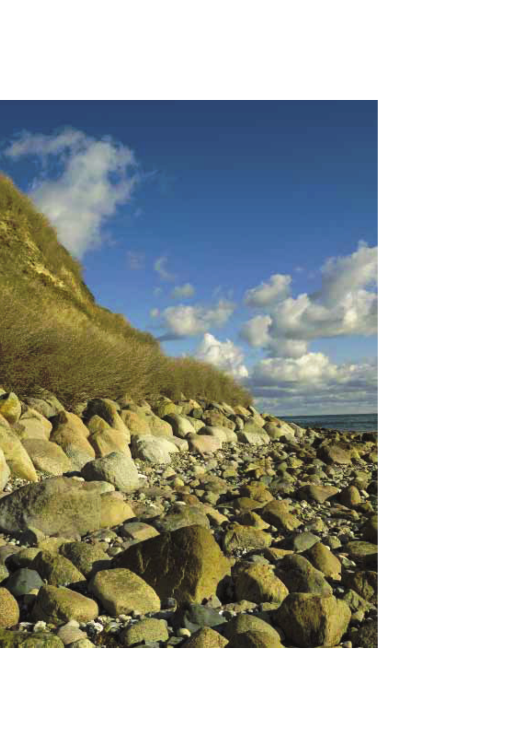